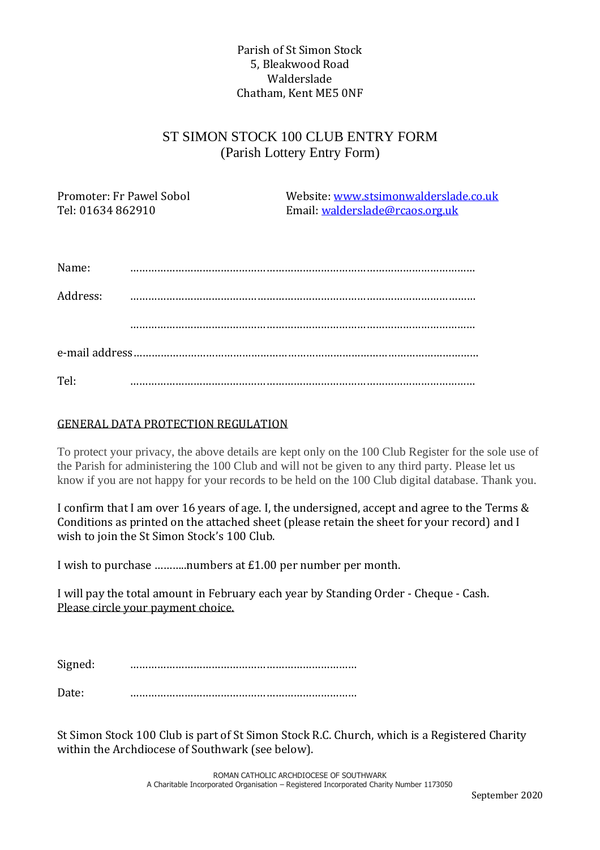## Parish of St Simon Stock 5, Bleakwood Road Walderslade Chatham, Kent ME5 0NF

## ST SIMON STOCK 100 CLUB ENTRY FORM (Parish Lottery Entry Form)

Promoter: Fr Pawel Sobol Website: [www.stsimonwalderslade.co.uk](http://www.stsimonwalderslade.co.uk/) Tel: 01634 862910 Email[: walderslade@rcaos.org.uk](mailto:walderslade@rcaos.org.uk)

| Name:    |  |
|----------|--|
| Address: |  |
|          |  |
|          |  |
| Tel:     |  |

## GENERAL DATA PROTECTION REGULATION

To protect your privacy, the above details are kept only on the 100 Club Register for the sole use of the Parish for administering the 100 Club and will not be given to any third party. Please let us know if you are not happy for your records to be held on the 100 Club digital database. Thank you.

I confirm that I am over 16 years of age. I, the undersigned, accept and agree to the Terms & Conditions as printed on the attached sheet (please retain the sheet for your record) and I wish to join the St Simon Stock's 100 Club.

I wish to purchase ………..numbers at £1.00 per number per month.

I will pay the total amount in February each year by Standing Order - Cheque - Cash. Please circle your payment choice.

Signed: …………………………………………………………………

Date: …………………………………………………………………

St Simon Stock 100 Club is part of St Simon Stock R.C. Church, which is a Registered Charity within the Archdiocese of Southwark (see below).